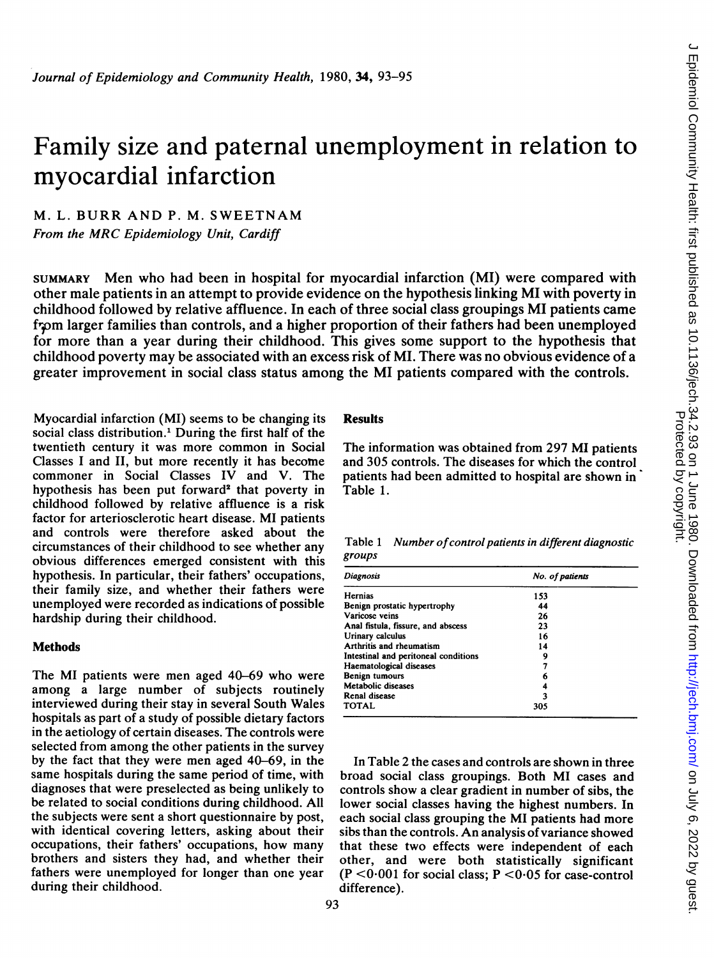# Family size and paternal unemployment in relation to myocardial infarction

## M. L. BURR AND P. M. SWEETNAM From the MRC Epidemiology Unit, Cardiff

SUMMARY Men who had been in hospital for myocardial infarction (MI) were compared with other male patients in an attempt to provide evidence on the hypothesis linking MI with poverty in childhood followed by relative affluence. In each of three social class groupings MI patients came frpm larger families than controls, and <sup>a</sup> higher proportion of their fathers had been unemployed for more than a year during their childhood. This gives some support to the hypothesis that childhood poverty may be associated with an excess risk of MI. There was no obvious evidence of a greater improvement in social class status among the MI patients compared with the controls.

Myocardial infarction (MI) seems to be changing its social class distribution.' During the first half of the twentieth century it was more common in Social Classes I and II, but more recently it has become commoner in Social Classes IV and V. The hypothesis has been put forward<sup>2</sup> that poverty in childhood followed by relative affluence is a risk factor for arteriosclerotic heart disease. MI patients and controls were therefore asked about the circumstances of their childhood to see whether any obvious differences emerged consistent with this hypothesis. In particular, their fathers' occupations, their family size, and whether their fathers were unemployed were recorded as indications of possible hardship during their childhood.

#### Methods

The MI patients were men aged 40-69 who were among a large number of subjects routinely interviewed during their stay in several South Wales hospitals as part of a study of possible dietary factors in the aetiology of certain diseases. The controls were selected from among the other patients in the survey by the fact that they were men aged 40-69, in the same hospitals during the same period of time, with diagnoses that were preselected as being unlikely to be related to social conditions during childhood. All the subjects were sent a short questionnaire by post, with identical covering letters, asking about their occupations, their fathers' occupations, how many brothers and sisters they had, and whether their fathers were unemployed for longer than one year during their childhood.

### Results

The information was obtained from 297 MI patients and 305 controls. The diseases for which the control patients had been admitted to hospital are shown in Table 1.

Table 1 Number of control patients in different diagnostic groups

| <b>Diagnosis</b>                     | No. of patients |  |
|--------------------------------------|-----------------|--|
| Hernias                              | 153             |  |
| Benign prostatic hypertrophy         | 44              |  |
| Varicose veins                       | 26              |  |
| Anal fistula, fissure, and abscess   | 23              |  |
| Urinary calculus                     | 16              |  |
| Arthritis and rheumatism             | 14              |  |
| Intestinal and peritoneal conditions | 9               |  |
| Haematological diseases              | 7               |  |
| Benign tumours                       | 6               |  |
| Metabolic diseases                   | 4               |  |
| Renal disease                        | 3               |  |
| <b>TOTAL</b>                         | 305             |  |

In Table 2 the cases and controls are shown in three broad social class groupings. Both MI cases and controls show a clear gradient in number of sibs, the lower social classes having the highest numbers. In each social class grouping the MI patients had more sibs than the controls. An analysis of variance showed that these two effects were independent of each other, and were both statistically significant  $(P < 0.001$  for social class;  $P < 0.05$  for case-control difference).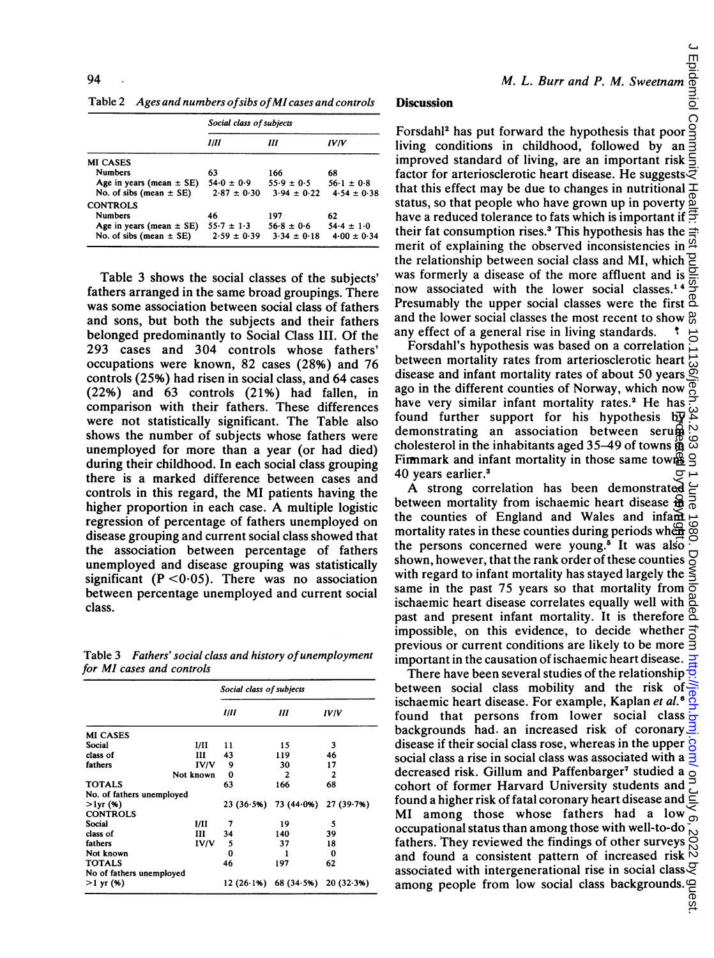|                              | Social class of subjects |                 |                 |  |
|------------------------------|--------------------------|-----------------|-----------------|--|
|                              | Ш                        | Ш               | IVIV            |  |
| <b>MI CASES</b>              |                          |                 |                 |  |
| <b>Numbers</b>               | 63                       | 166             | 68              |  |
| Age in years (mean $\pm$ SE) | $54.0 \pm 0.9$           | $55.9 \pm 0.5$  | $56.1 \pm 0.8$  |  |
| No. of sibs (mean $\pm$ SE)  | $2.87 \pm 0.30$          | $3.94 \pm 0.22$ | $4.54 \pm 0.38$ |  |
| <b>CONTROLS</b>              |                          |                 |                 |  |
| <b>Numbers</b>               | 46                       | $197 -$         | 62              |  |
| Age in years (mean $\pm$ SE) | $55.7 \pm 1.3$           | $56.8 \pm 0.6$  | $54.4 \pm 1.0$  |  |
| No. of sibs (mean $\pm$ SE)  | $2.59 \pm 0.39$          | $3.34 \pm 0.18$ | $4.00 \pm 0.34$ |  |

Table 3 shows the social classes of the subjects' fathers arranged in the same broad groupings. There was some association between social class of fathers and sons, but both the subjects and their fathers belonged predominantly to Social Class III. Of the 293 cases and 304 controls whose fathers' occupations were known, 82 cases (28%) and 76 controls (25%) had risen in social class, and 64 cases (22%) and 63 controls (21%) had fallen, in comparison with their fathers. These differences were not statistically significant. The Table also shows the number of subjects whose fathers were unemployed for more than a year (or had died) during their childhood. In each social class grouping there is a marked difference between cases and controls in this regard, the MI patients having the higher proportion in each case. A multiple logistic regression of percentage of fathers unemployed on disease grouping and current social class showed that the association between percentage of fathers unemployed and disease grouping was statistically significant ( $P < 0.05$ ). There was no association between percentage unemployed and current social class.

Table 3 Fathers' social class and history of unemployment for MI cases and controls

|                           |             | Social class of subjects |                       |                |  |
|---------------------------|-------------|--------------------------|-----------------------|----------------|--|
|                           |             | Ш                        | Ш                     | IV IV          |  |
| <b>MI CASES</b>           |             |                          |                       |                |  |
| Social                    | I/II        | 11                       | 15                    | 3              |  |
| class of                  | ш           | 43                       | 119                   | 46             |  |
| fathers                   | <b>IV/V</b> | 9                        | 30                    | 17             |  |
|                           | Not known   | 0                        | $\overline{2}$        | $\overline{c}$ |  |
| <b>TOTALS</b>             |             | 63                       | 166                   | 68             |  |
| No. of fathers unemployed |             |                          |                       |                |  |
| $>1$ yr (%)               |             | 23(36.5%)                | 73(44.0%)             | 27 (39 7%)     |  |
| <b>CONTROLS</b>           |             |                          |                       |                |  |
| Social                    | ИΗ          | 7                        | 19                    | 5              |  |
| class of                  | ш           | 34                       | 140                   | 39             |  |
| fathers                   | IV/V        | 5                        | 37                    | 18             |  |
| Not known                 |             | 0                        |                       | 0              |  |
| <b>TOTALS</b>             |             | 46                       | 197                   | 62             |  |
| No of fathers unemployed  |             |                          |                       |                |  |
| $>1$ yr (%)               |             |                          | 12 (26 1%) 68 (34 5%) | 20(32.3%)      |  |

#### **Discussion**

Form M. L. Burr and P. M. Sweetnam and<br>Discussion<br>Forsdahl<sup>2</sup> has put forward the hypothesis that poor and<br>living conditions in childhood, followed by an anal<br>improved standard of living, are an important risk living conditions in childhood, followed by an improved standard of living, are an important risk factor for arteriosclerotic heart disease. He suggests  $\bar{z}$ that this effect may be due to changes in nutritional  $\pm$ status, so that people who have grown up in poverty  $\frac{10}{2}$ have a reduced tolerance to fats which is important if  $\pm$ their fat consumption rises.<sup>3</sup> This hypothesis has the merit of explaining the observed inconsistencies in  $\frac{\alpha}{2}$ the relationship between social class and MI, which  $\Xi$ was formerly a disease of the more affluent and is  $\frac{6}{5}$ <br>now associated with the lower social classes 14  $\frac{6}{5}$ now associated with the lower social classes.<sup>14</sup> Presumably the upper social classes were the first  $\mathbb{S}$ and the lower social classes the most recent to show  $\frac{\omega}{60}$ any effect of a general rise in living standards.  $\ddot{\ }$ 

Forsdahl's hypothesis was based on a correlation between mortality rates from arteriosclerotic heart disease and infant mortality rates of about 50 years ago in the different counties of Norway, which now have very similar infant mortality rates.<sup>2</sup> He has found further support for his hypothesis  $b\overline{y}$ demonstrating an association between serum cholesterol in the inhabitants aged  $35-49$  of towns  $\frac{36}{14}$ Fimmark and infant mortality in those same town  $S$ 40 years earlier.3

A strong correlation has been demonstrated between mortality from ischaemic heart disease  $\ddot{\theta}$ the counties of England and Wales and infant mortality rates in these counties during periods when the persons concerned were young.<sup>5</sup> It was also shown, however, that the rank order of these counties with regard to infant mortality has stayed largely the  $\leq$ same in the past 75 years so that mortality from ischaemic heart disease correlates equally well with past and present infant mortality. It is therefore impossible, on this evidence, to decide whether previous or current conditions are likely to be more important in the causation of ischaemic heart disease.

J Epidemiol Community Health: first published as 10.1136/jech.34.2.93 on 1 June 1980. Downloaded from <http://jech.bmj.com/> on July 6, 2022 by guest. found further support for his hypothesis by<br>demonstrating an association between seruges<br>cholesterol in the inhabitants aged 35–49 of towns  $\frac{10}{2}$ <br>Firmmark and infant mortality in those same towns<br> $\frac{40}{2}$ <br>Firmmark There have been several studies of the relationship  $\frac{1}{2}$ between social class mobility and the risk of ischaemic heart disease. For example, Kaplan et al.<sup>6</sup> found that persons from lower social class backgrounds had. an increased risk of coronary  $\frac{3}{2}$ disease if their social class rose, whereas in the upper  $\overline{Q}$ social class a rise in social class was associated with a  $\frac{3}{5}$ decreased risk. Gillum and Paffenbarger<sup>7</sup> studied a  $\circ$ cohort of former Harvard University students and found a higher risk of fatal coronary heart disease and MI among those whose fathers had <sup>a</sup> low occupational status than among those with well-to-do fathers. They reviewed the findings of other surveys and found a consistent pattern of increased risk associated with intergenerational rise in social class uest.